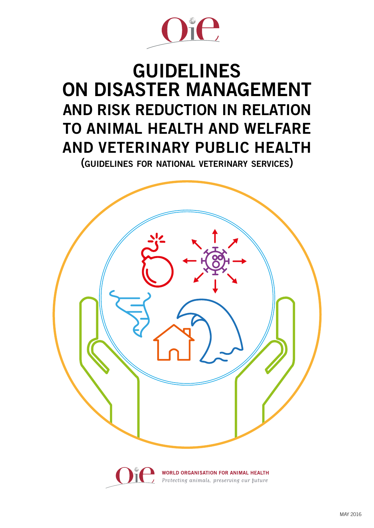

## GUIDELINES ON DISASTER MANAGEMENT AND RISK REDUCTION IN RELATION TO ANIMAL HEALTH AND WELFARE AND VETERINARY PUBLIC HEALTH

(guidelines for national veterinary services)



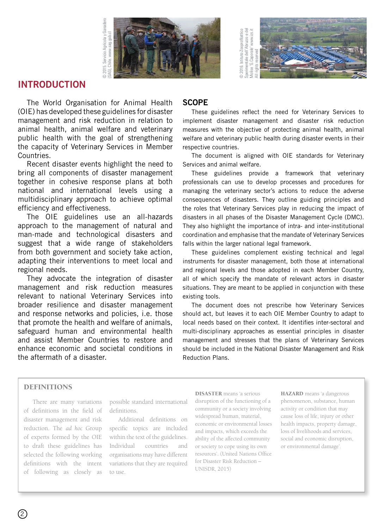



#### INTRODUCTION

The World Organisation for Animal Health (OIE) has developed these guidelines for disaster management and risk reduction in relation to animal health, animal welfare and veterinary public health with the goal of strengthening the capacity of Veterinary Services in Member Countries.

Recent disaster events highlight the need to bring all components of disaster management together in cohesive response plans at both national and international levels using a multidisciplinary approach to achieve optimal efficiency and effectiveness.

The OIE guidelines use an all-hazards approach to the management of natural and man-made and technological disasters and suggest that a wide range of stakeholders from both government and society take action, adapting their interventions to meet local and regional needs.

They advocate the integration of disaster management and risk reduction measures relevant to national Veterinary Services into broader resilience and disaster management and response networks and policies, i.e. those that promote the health and welfare of animals, safeguard human and environmental health and assist Member Countries to restore and enhance economic and societal conditions in the aftermath of a disaster.

#### **SCOPE**

These guidelines reflect the need for Veterinary Services to implement disaster management and disaster risk reduction measures with the objective of protecting animal health, animal welfare and veterinary public health during disaster events in their respective countries.

The document is aligned with OIE standards for Veterinary Services and animal welfare.

These guidelines provide a framework that veterinary professionals can use to develop processes and procedures for managing the veterinary sector's actions to reduce the adverse consequences of disasters. They outline guiding principles and the roles that Veterinary Services play in reducing the impact of disasters in all phases of the Disaster Management Cycle (DMC). They also highlight the importance of intra- and inter-institutional coordination and emphasise that the mandate of Veterinary Services falls within the larger national legal framework.

These guidelines complement existing technical and legal instruments for disaster management, both those at international and regional levels and those adopted in each Member Country, all of which specify the mandate of relevant actors in disaster situations. They are meant to be applied in conjunction with these existing tools.

The document does not prescribe how Veterinary Services should act, but leaves it to each OIE Member Country to adapt to local needs based on their context. It identifies inter-sectoral and multi-disciplinary approaches as essential principles in disaster management and stresses that the plans of Veterinary Services should be included in the National Disaster Management and Risk Reduction Plans.

#### DEFINITIONS

There are many variations of definitions in the field of disaster management and risk reduction. The *ad hoc* Group of experts formed by the OIE to draft these guidelines has selected the following working definitions with the intent of following as closely as

possible standard international definitions.

Additional definitions on specific topics are included within the text of the guidelines. Individual countries and organisations may have different variations that they are required to use.

DISASTER means 'a serious disruption of the functioning of a community or a society involving widespread human, material, economic or environmental losses and impacts, which exceeds the ability of the affected community or society to cope using its own resources'. (United Nations Office for Disaster Risk Reduction – UNISDR, 2015)

HAZARD means 'a dangerous phenomenon, substance, human activity or condition that may cause loss of life, injury or other health impacts, property damage, loss of livelihoods and services, social and economic disruption, or environmental damage'.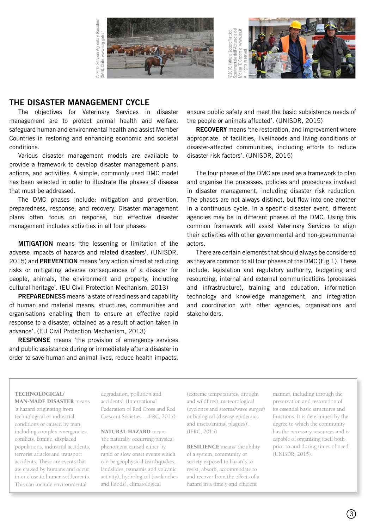



#### THE DISASTER MANAGEMENT CYCLE

The objectives for Veterinary Services in disaster management are to protect animal health and welfare, safeguard human and environmental health and assist Member Countries in restoring and enhancing economic and societal conditions.

Various disaster management models are available to provide a framework to develop disaster management plans, actions, and activities. A simple, commonly used DMC model has been selected in order to illustrate the phases of disease that must be addressed.

The DMC phases include: mitigation and prevention, preparedness, response, and recovery. Disaster management plans often focus on response, but effective disaster management includes activities in all four phases.

MITIGATION means 'the lessening or limitation of the adverse impacts of hazards and related disasters'. (UNISDR, 2015) and PREVENTION means 'any action aimed at reducing risks or mitigating adverse consequences of a disaster for people, animals, the environment and property, including cultural heritage'. (EU Civil Protection Mechanism, 2013)

PREPAREDNESS means 'a state of readiness and capability of human and material means, structures, communities and organisations enabling them to ensure an effective rapid response to a disaster, obtained as a result of action taken in advance'. (EU Civil Protection Mechanism, 2013)

RESPONSE means 'the provision of emergency services and public assistance during or immediately after a disaster in order to save human and animal lives, reduce health impacts, ensure public safety and meet the basic subsistence needs of the people or animals affected'. (UNISDR, 2015)

RECOVERY means 'the restoration, and improvement where appropriate, of facilities, livelihoods and living conditions of disaster-affected communities, including efforts to reduce disaster risk factors'. (UNISDR, 2015)

The four phases of the DMC are used as a framework to plan and organise the processes, policies and procedures involved in disaster management, including disaster risk reduction. The phases are not always distinct, but flow into one another in a continuous cycle. In a specific disaster event, different agencies may be in different phases of the DMC. Using this common framework will assist Veterinary Services to align their activities with other governmental and non-governmental actors.

There are certain elements that should always be considered as they are common to all four phases of the DMC (Fig.1). These include: legislation and regulatory authority, budgeting and resourcing, internal and external communications (processes and infrastructure), training and education, information technology and knowledge management, and integration and coordination with other agencies, organisations and stakeholders.

#### TECHNOLOGICAL/ MAN-MADE DISASTER means

'a hazard originating from technological or industrial conditions or caused by man, including complex emergencies, conflicts, famine, displaced populations, industrial accidents, terrorist attacks and transport accidents. These are events that are caused by humans and occur in or close to human settlements. This can include environmental

degradation, pollution and accidents'. (International Federation of Red Cross and Red Crescent Societies – IFRC, 2015)

NATURAL HAZARD means 'the naturally occurring physical phenomena caused either by rapid or slow onset events which can be geophysical (earthquakes, landslides, tsunamis and volcanic activity), hydrological (avalanches and floods), climatological

(extreme temperatures, drought and wildfires), meteorological (cyclones and storms/wave surges) or biological (disease epidemics and insect/animal plagues)'. (IFRC, 2015)

RESILIENCE means 'the ability of a system, community or society exposed to hazards to resist, absorb, accommodate to and recover from the effects of a hazard in a timely and efficient

manner, including through the preservation and restoration of its essential basic structures and functions. It is determined by the degree to which the community has the necessary resources and is capable of organising itself both prior to and during times of need'. (UNISDR, 2015).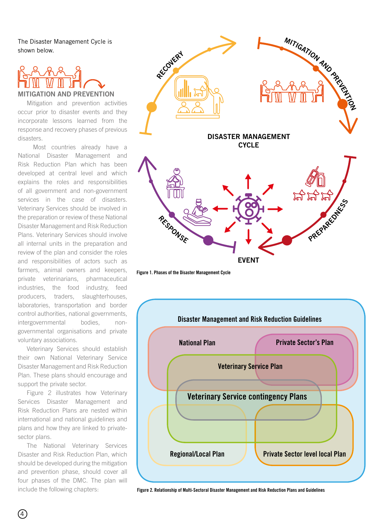The Disaster Management Cycle is shown below.

# MITIGATION AND PREVENTION

Mitigation and prevention activities occur prior to disaster events and they incorporate lessons learned from the response and recovery phases of previous disasters.

Most countries already have a National Disaster Management and Risk Reduction Plan which has been developed at central level and which explains the roles and responsibilities of all government and non-government services in the case of disasters. Veterinary Services should be involved in the preparation or review of these National Disaster Management and Risk Reduction Plans. Veterinary Services should involve all internal units in the preparation and review of the plan and consider the roles and responsibilities of actors such as farmers, animal owners and keepers, private veterinarians, pharmaceutical industries, the food industry, feed producers, traders, slaughterhouses, laboratories, transportation and border control authorities, national governments, intergovernmental bodies, nongovernmental organisations and private voluntary associations.

Veterinary Services should establish their own National Veterinary Service Disaster Management and Risk Reduction Plan. These plans should encourage and support the private sector.

Figure 2 illustrates how Veterinary Services Disaster Management and Risk Reduction Plans are nested within international and national guidelines and plans and how they are linked to privatesector plans.

The National Veterinary Services Disaster and Risk Reduction Plan, which should be developed during the mitigation and prevention phase, should cover all four phases of the DMC. The plan will



Figure 1. Phases of the Disaster Management Cycle



include the following chapters: Figure 2. Relationship of Multi-Sectoral Disaster Management and Risk Reduction Plans and Guidelines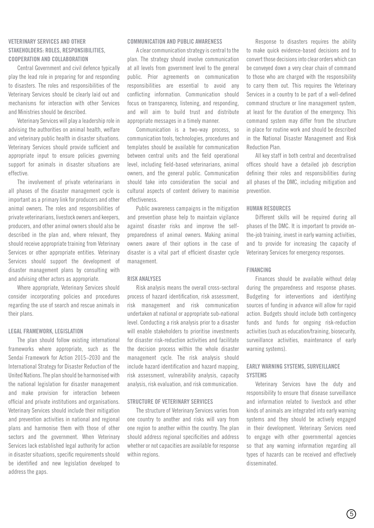#### VETERINARY SERVICES AND OTHER STAKEHOLDERS: ROLES, RESPONSIBILITIES, COOPERATION AND COLLABORATION

Central Government and civil defence typically play the lead role in preparing for and responding to disasters. The roles and responsibilities of the Veterinary Services should be clearly laid out and mechanisms for interaction with other Services and Ministries should be described.

Veterinary Services will play a leadership role in advising the authorities on animal health, welfare and veterinary public health in disaster situations. Veterinary Services should provide sufficient and appropriate input to ensure policies governing support for animals in disaster situations are effective.

The involvement of private veterinarians in all phases of the disaster management cycle is important as a primary link for producers and other animal owners. The roles and responsibilities of private veterinarians, livestock owners and keepers, producers, and other animal owners should also be described in the plan and, where relevant, they should receive appropriate training from Veterinary Services or other appropriate entities. Veterinary Services should support the development of disaster management plans by consulting with and advising other actors as appropriate.

Where appropriate, Veterinary Services should consider incorporating policies and procedures regarding the use of search and rescue animals in their plans.

#### LEGAL FRAMEWORK, LEGISLATION

The plan should follow existing international frameworks where appropriate, such as the Sendai Framework for Action 2015–2030 and the International Strategy for Disaster Reduction of the United Nations. The plan should be harmonised with the national legislation for disaster management and make provision for interaction between official and private institutions and organisations. Veterinary Services should include their mitigation and prevention activities in national and regional plans and harmonise them with those of other sectors and the government. When Veterinary Services lack established legal authority for action in disaster situations, specific requirements should be identified and new legislation developed to address the gaps.

#### COMMUNICATION AND PUBLIC AWARENESS

A clear communication strategy is central to the plan. The strategy should involve communication at all levels from government level to the general public. Prior agreements on communication responsibilities are essential to avoid any conflicting information. Communication should focus on transparency, listening, and responding, and will aim to build trust and distribute appropriate messages in a timely manner.

Communication is a two-way process, so communication tools, technologies, procedures and templates should be available for communication between central units and the field operational level, including field-based veterinarians, animal owners, and the general public. Communication should take into consideration the social and cultural aspects of content delivery to maximise effectiveness.

Public awareness campaigns in the mitigation and prevention phase help to maintain vigilance against disaster risks and improve the selfpreparedness of animal owners. Making animal owners aware of their options in the case of disaster is a vital part of efficient disaster cycle management.

#### RISK ANALYSES

Risk analysis means the overall cross-sectoral process of hazard identification, risk assessment, risk management and risk communication undertaken at national or appropriate sub-national level. Conducting a risk analysis prior to a disaster will enable stakeholders to prioritise investments for disaster risk-reduction activities and facilitate the decision process within the whole disaster management cycle. The risk analysis should include hazard identification and hazard mapping, risk assessment, vulnerability analysis, capacity analysis, risk evaluation, and risk communication.

#### STRUCTURE OF VETERINARY SERVICES

The structure of Veterinary Services varies from one country to another and risks will vary from one region to another within the country. The plan should address regional specificities and address whether or not capacities are available for response within regions.

Response to disasters requires the ability to make quick evidence-based decisions and to convert those decisions into clear orders which can be conveyed down a very clear chain of command to those who are charged with the responsibility to carry them out. This requires the Veterinary Services in a country to be part of a well-defined command structure or line management system, at least for the duration of the emergency. This command system may differ from the structure in place for routine work and should be described in the National Disaster Management and Risk Reduction Plan.

All key staff in both central and decentralised offices should have a detailed job description defining their roles and responsibilities during all phases of the DMC, including mitigation and prevention.

#### HUMAN RESOURCES

Different skills will be required during all phases of the DMC. It is important to provide onthe-job training, invest in early warning activities, and to provide for increasing the capacity of Veterinary Services for emergency responses.

#### FINANCING

Finances should be available without delay during the preparedness and response phases. Budgeting for interventions and identifying sources of funding in advance will allow for rapid action. Budgets should include both contingency funds and funds for ongoing risk-reduction activities (such as education/training, biosecurity, surveillance activities, maintenance of early warning systems).

#### EARLY WARNING SYSTEMS, SURVEILLANCE **SYSTEMS**

Veterinary Services have the duty and responsibility to ensure that disease surveillance and information related to livestock and other kinds of animals are integrated into early warning systems and they should be actively engaged in their development. Veterinary Services need to engage with other governmental agencies so that any warning information regarding all types of hazards can be received and effectively disseminated.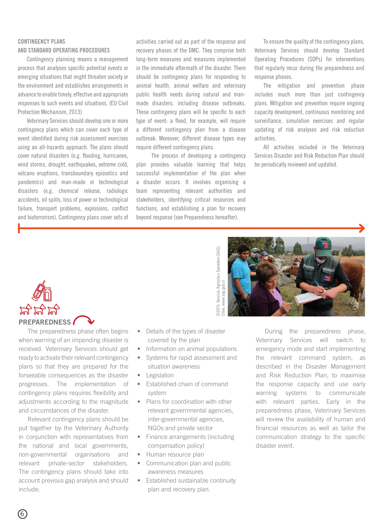#### CONTINGENCY PLANS AND STANDARD OPERATING PROCEDURES

Contingency planning means a management process that analyses specific potential events or emerging situations that might threaten society or the environment and establishes arrangements in advance to enable timely, effective and appropriate responses to such events and situations. (EU Civil Protection Mechanism, 2013)

Veterinary Services should develop one or more contingency plans which can cover each type of event identified during risk assessment exercises using an all-hazards approach. The plans should cover natural disasters (e.g. flooding, hurricanes, wind storms, drought, earthquakes, extreme cold, volcano eruptions, transboundary epizootics and pandemics) and man-made or technological disasters (e.g. chemical release, radiologic accidents, oil spills, loss of power or technological failure, transport problems, explosions, conflict and bioterrorism). Contingency plans cover sets of

activities carried out as part of the response and recovery phases of the DMC. They comprise both long-term measures and measures implemented in the immediate aftermath of the disaster. There should be contingency plans for responding to animal health, animal welfare and veterinary public health needs during natural and manmade disasters, including disease outbreaks. These contingency plans will be specific to each type of event: a flood, for example, will require a different contingency plan from a disease outbreak. Moreover, different disease types may require different contingency plans.

The process of developing a contingency plan provides valuable learning that helps successful implementation of the plan when a disaster occurs. It involves organising a team representing relevant authorities and stakeholders, identifying critical resources and functions, and establishing a plan for recovery beyond response (see Preparedness hereafter).

To ensure the quality of the contingency plans, Veterinary Services should develop Standard Operating Procedures (SOPs) for interventions that regularly recur during the preparedness and response phases.

The mitigation and prevention phase includes much more than just contingency plans. Mitigation and prevention require ongoing capacity development, continuous monitoring and surveillance, simulation exercises and regular updating of risk analyses and risk reduction activities.

All activities included in the Veterinary Services Disaster and Risk Reduction Plan should be periodically reviewed and updated.





The preparedness phase often begins when warning of an impending disaster is received. Veterinary Services should get ready to activate their relevant contingency plans so that they are prepared for the forseeable consequences as the disaster progresses. The implementation of contingency plans requires flexibility and adjustments according to the magnitude and circumstances of the disaster.

Relevant contingency plans should be put together by the Veterinary Authority in conjunction with representatives from the national and local governments, non-governmental organisations and relevant private-sector stakeholders. The contingency plans should take into account previous gap analysis and should include:

- Details of the types of disaster covered by the plan
- Information on animal populations
- Systems for rapid assessment and situation awareness
- Legislation
- Established chain of command system
- Plans for coordination with other relevant governmental agencies, inter-governmental agencies, NGOs and private sector
- Finance arrangements (including compensation policy)
- Human resource plan
- Communication plan and public awareness measures
- Established sustainable continuity plan and recovery plan.

During the preparedness phase, Veterinary Services will switch to emergency mode and start implementing the relevant command system, as described in the Disaster Management and Risk Reduction Plan, to maximise the response capacity and use early warning systems to communicate with relevant parties. Early in the preparedness phase, Veterinary Services will review the availability of human and financial resources as well as tailor the communication strategy to the specific disaster event.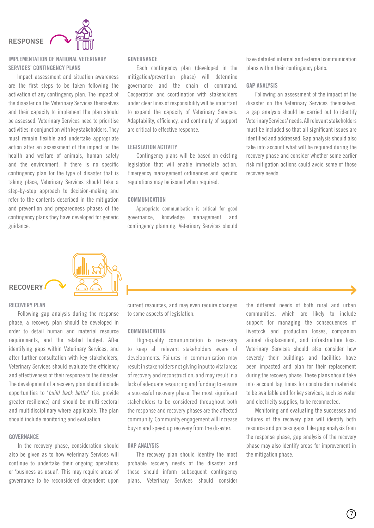### RESPONSE



#### IMPLEMENTATION OF NATIONAL VETERINARY SERVICES' CONTINGENCY PLANS

Impact assessment and situation awareness are the first steps to be taken following the activation of any contingency plan. The impact of the disaster on the Veterinary Services themselves and their capacity to implement the plan should be assessed. Veterinary Services need to prioritise activities in conjunction with key stakeholders. They must remain flexible and undertake appropriate action after an assessment of the impact on the health and welfare of animals, human safety and the environment. If there is no specific contingency plan for the type of disaster that is taking place, Veterinary Services should take a step-by-step approach to decision-making and refer to the contents described in the mitigation and prevention and preparedness phases of the contingency plans they have developed for generic guidance.

#### **GOVERNANCE**

Each contingency plan (developed in the mitigation/prevention phase) will determine governance and the chain of command. Cooperation and coordination with stakeholders under clear lines of responsibility will be important to expand the capacity of Veterinary Services. Adaptability, efficiency, and continuity of support are critical to effective response.

#### LEGISLATION ACTIVITY

Contingency plans will be based on existing legislation that will enable immediate action. Emergency management ordinances and specific regulations may be issued when required.

#### **COMMUNICATION**

Appropriate communication is critical for good governance, knowledge management and contingency planning. Veterinary Services should have detailed internal and external communication plans within their contingency plans.

#### GAP ANALYSIS

Following an assessment of the impact of the disaster on the Veterinary Services themselves, a gap analysis should be carried out to identify Veterinary Services' needs. All relevant stakeholders must be included so that all significant issues are identified and addressed. Gap analysis should also take into account what will be required during the recovery phase and consider whether some earlier risk mitigation actions could avoid some of those recovery needs.



#### RECOVERY PLAN

Following gap analysis during the response phase, a recovery plan should be developed in order to detail human and material resource requirements, and the related budget. After identifying gaps within Veterinary Services, and after further consultation with key stakeholders, Veterinary Services should evaluate the efficiency and effectiveness of their response to the disaster. The development of a recovery plan should include opportunities to '*build back better*' (i.e. provide greater resilience) and should be multi-sectoral and multidisciplinary where applicable. The plan should include monitoring and evaluation.

#### GOVERNANCE

In the recovery phase, consideration should also be given as to how Veterinary Services will continue to undertake their ongoing operations or 'business as usual'. This may require areas of governance to be reconsidered dependent upon

current resources, and may even require changes to some aspects of legislation.

#### **COMMUNICATION**

High-quality communication is necessary to keep all relevant stakeholders aware of developments. Failures in communication may result in stakeholders not giving input to vital areas of recovery and reconstruction, and may result in a lack of adequate resourcing and funding to ensure a successful recovery phase. The most significant stakeholders to be considered throughout both the response and recovery phases are the affected community. Community engagement will increase buy-in and speed up recovery from the disaster.

#### GAP ANALYSIS

The recovery plan should identify the most probable recovery needs of the disaster and these should inform subsequent contingency plans. Veterinary Services should consider the different needs of both rural and urban communities, which are likely to include support for managing the consequences of livestock and production losses, companion animal displacement, and infrastructure loss. Veterinary Services should also consider how severely their buildings and facilities have been impacted and plan for their replacement during the recovery phase. These plans should take into account lag times for construction materials to be available and for key services, such as water and electricity supplies, to be reconnected.

Monitoring and evaluating the successes and failures of the recovery plan will identify both resource and process gaps. Like gap analysis from the response phase, gap analysis of the recovery phase may also identify areas for improvement in the mitigation phase.